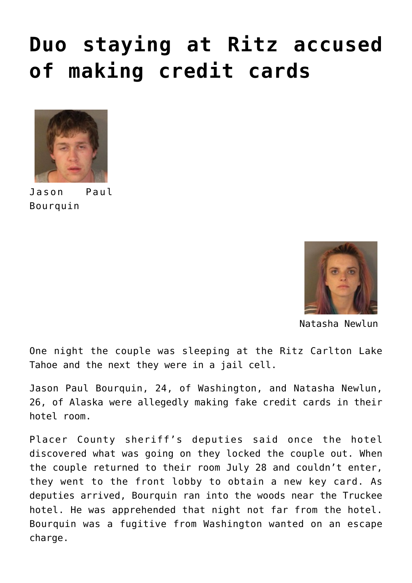## **[Duo staying at Ritz accused](https://www.laketahoenews.net/2016/08/duo-staying-at-ritz-accused-of-making-credit-cards/) [of making credit cards](https://www.laketahoenews.net/2016/08/duo-staying-at-ritz-accused-of-making-credit-cards/)**



Jason Paul Bourquin



Natasha Newlun

One night the couple was sleeping at the Ritz Carlton Lake Tahoe and the next they were in a jail cell.

Jason Paul Bourquin, 24, of Washington, and Natasha Newlun, 26, of Alaska were allegedly making fake credit cards in their hotel room.

Placer County sheriff's deputies said once the hotel discovered what was going on they locked the couple out. When the couple returned to their room July 28 and couldn't enter, they went to the front lobby to obtain a new key card. As deputies arrived, Bourquin ran into the woods near the Truckee hotel. He was apprehended that night not far from the hotel. Bourquin was a fugitive from Washington wanted on an escape charge.